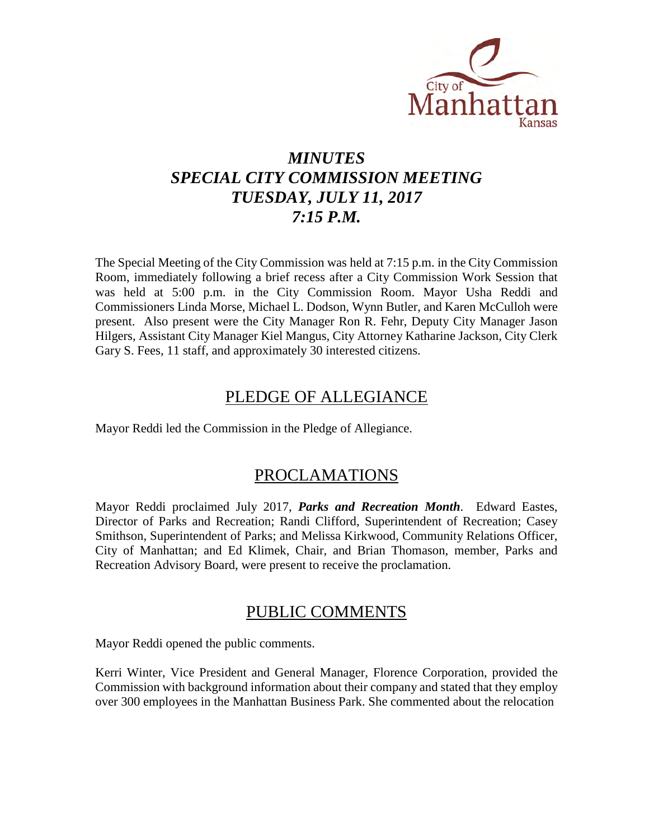

# *MINUTES SPECIAL CITY COMMISSION MEETING TUESDAY, JULY 11, 2017 7:15 P.M.*

The Special Meeting of the City Commission was held at 7:15 p.m. in the City Commission Room, immediately following a brief recess after a City Commission Work Session that was held at 5:00 p.m. in the City Commission Room. Mayor Usha Reddi and Commissioners Linda Morse, Michael L. Dodson, Wynn Butler, and Karen McCulloh were present. Also present were the City Manager Ron R. Fehr, Deputy City Manager Jason Hilgers, Assistant City Manager Kiel Mangus, City Attorney Katharine Jackson, City Clerk Gary S. Fees, 11 staff, and approximately 30 interested citizens.

# PLEDGE OF ALLEGIANCE

Mayor Reddi led the Commission in the Pledge of Allegiance.

# PROCLAMATIONS

Mayor Reddi proclaimed July 2017, *Parks and Recreation Month*. Edward Eastes, Director of Parks and Recreation; Randi Clifford, Superintendent of Recreation; Casey Smithson, Superintendent of Parks; and Melissa Kirkwood, Community Relations Officer, City of Manhattan; and Ed Klimek, Chair, and Brian Thomason, member, Parks and Recreation Advisory Board, were present to receive the proclamation.

# PUBLIC COMMENTS

Mayor Reddi opened the public comments.

Kerri Winter, Vice President and General Manager, Florence Corporation, provided the Commission with background information about their company and stated that they employ over 300 employees in the Manhattan Business Park. She commented about the relocation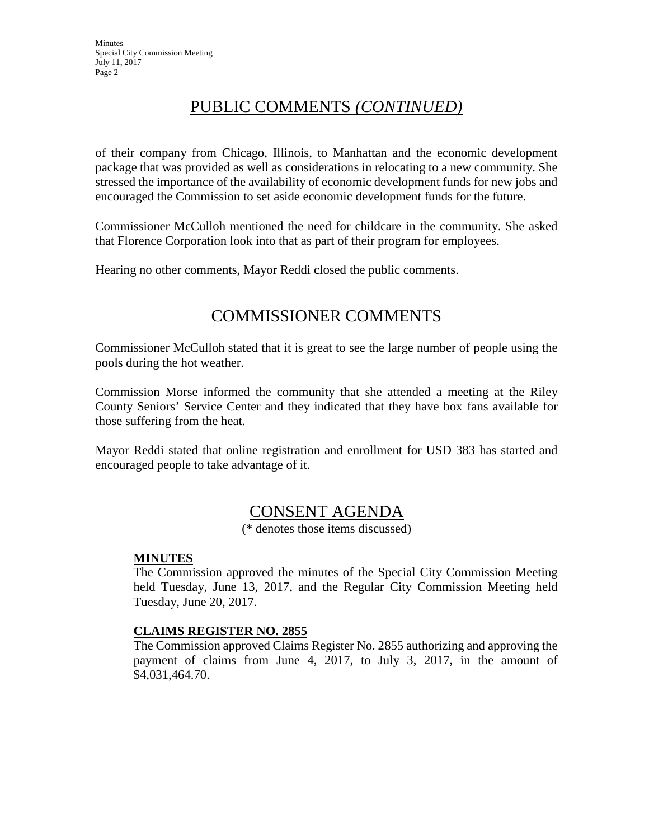# PUBLIC COMMENTS *(CONTINUED)*

of their company from Chicago, Illinois, to Manhattan and the economic development package that was provided as well as considerations in relocating to a new community. She stressed the importance of the availability of economic development funds for new jobs and encouraged the Commission to set aside economic development funds for the future.

Commissioner McCulloh mentioned the need for childcare in the community. She asked that Florence Corporation look into that as part of their program for employees.

Hearing no other comments, Mayor Reddi closed the public comments.

# COMMISSIONER COMMENTS

Commissioner McCulloh stated that it is great to see the large number of people using the pools during the hot weather.

Commission Morse informed the community that she attended a meeting at the Riley County Seniors' Service Center and they indicated that they have box fans available for those suffering from the heat.

Mayor Reddi stated that online registration and enrollment for USD 383 has started and encouraged people to take advantage of it.

# CONSENT AGENDA

(\* denotes those items discussed)

#### **MINUTES**

The Commission approved the minutes of the Special City Commission Meeting held Tuesday, June 13, 2017, and the Regular City Commission Meeting held Tuesday, June 20, 2017.

## **CLAIMS REGISTER NO. 2855**

The Commission approved Claims Register No. 2855 authorizing and approving the payment of claims from June 4, 2017, to July 3, 2017, in the amount of \$4,031,464.70.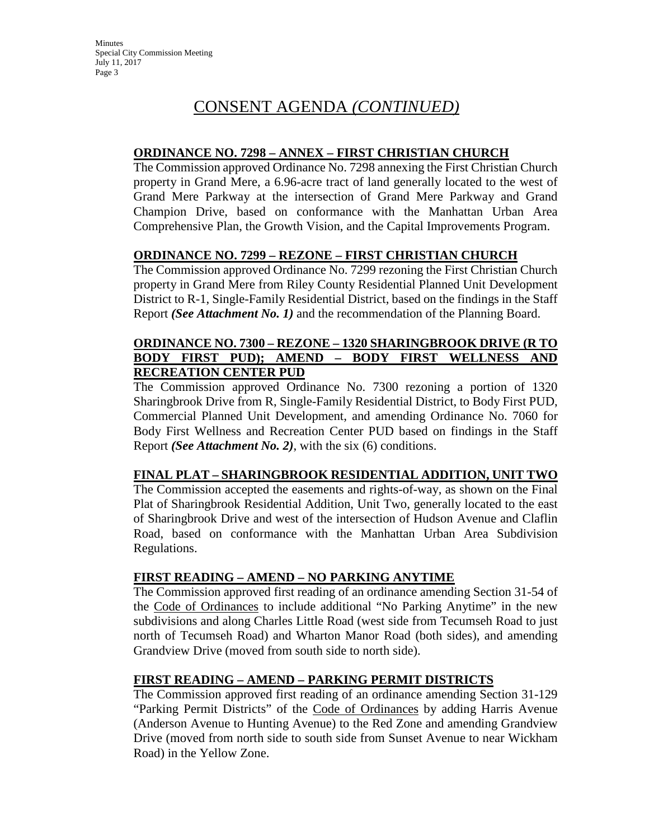### **ORDINANCE NO. 7298 – ANNEX – FIRST CHRISTIAN CHURCH**

The Commission approved Ordinance No. 7298 annexing the First Christian Church property in Grand Mere, a 6.96-acre tract of land generally located to the west of Grand Mere Parkway at the intersection of Grand Mere Parkway and Grand Champion Drive, based on conformance with the Manhattan Urban Area Comprehensive Plan, the Growth Vision, and the Capital Improvements Program.

## **ORDINANCE NO. 7299 – REZONE – FIRST CHRISTIAN CHURCH**

The Commission approved Ordinance No. 7299 rezoning the First Christian Church property in Grand Mere from Riley County Residential Planned Unit Development District to R-1, Single-Family Residential District, based on the findings in the Staff Report *(See Attachment No. 1)* and the recommendation of the Planning Board.

## **ORDINANCE NO. 7300 – REZONE – 1320 SHARINGBROOK DRIVE (R TO BODY FIRST PUD); AMEND – BODY FIRST WELLNESS AND RECREATION CENTER PUD**

The Commission approved Ordinance No. 7300 rezoning a portion of 1320 Sharingbrook Drive from R, Single-Family Residential District, to Body First PUD, Commercial Planned Unit Development, and amending Ordinance No. 7060 for Body First Wellness and Recreation Center PUD based on findings in the Staff Report *(See Attachment No. 2)*, with the six (6) conditions.

## **FINAL PLAT – SHARINGBROOK RESIDENTIAL ADDITION, UNIT TWO**

The Commission accepted the easements and rights-of-way, as shown on the Final Plat of Sharingbrook Residential Addition, Unit Two, generally located to the east of Sharingbrook Drive and west of the intersection of Hudson Avenue and Claflin Road, based on conformance with the Manhattan Urban Area Subdivision Regulations.

## **FIRST READING – AMEND – NO PARKING ANYTIME**

The Commission approved first reading of an ordinance amending Section 31-54 of the Code of Ordinances to include additional "No Parking Anytime" in the new subdivisions and along Charles Little Road (west side from Tecumseh Road to just north of Tecumseh Road) and Wharton Manor Road (both sides), and amending Grandview Drive (moved from south side to north side).

## **FIRST READING – AMEND – PARKING PERMIT DISTRICTS**

The Commission approved first reading of an ordinance amending Section 31-129 "Parking Permit Districts" of the Code of Ordinances by adding Harris Avenue (Anderson Avenue to Hunting Avenue) to the Red Zone and amending Grandview Drive (moved from north side to south side from Sunset Avenue to near Wickham Road) in the Yellow Zone.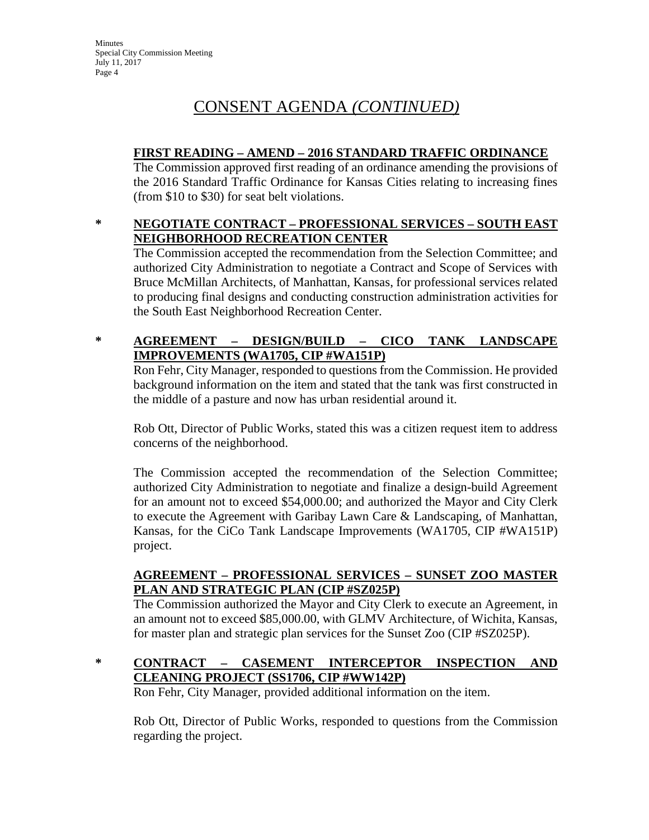# **FIRST READING – AMEND – 2016 STANDARD TRAFFIC ORDINANCE**

The Commission approved first reading of an ordinance amending the provisions of the 2016 Standard Traffic Ordinance for Kansas Cities relating to increasing fines (from \$10 to \$30) for seat belt violations.

# **\* NEGOTIATE CONTRACT – PROFESSIONAL SERVICES – SOUTH EAST NEIGHBORHOOD RECREATION CENTER**

The Commission accepted the recommendation from the Selection Committee; and authorized City Administration to negotiate a Contract and Scope of Services with Bruce McMillan Architects, of Manhattan, Kansas, for professional services related to producing final designs and conducting construction administration activities for the South East Neighborhood Recreation Center.

# **\* AGREEMENT – DESIGN/BUILD – CICO TANK LANDSCAPE IMPROVEMENTS (WA1705, CIP #WA151P)**

Ron Fehr, City Manager, responded to questions from the Commission. He provided background information on the item and stated that the tank was first constructed in the middle of a pasture and now has urban residential around it.

Rob Ott, Director of Public Works, stated this was a citizen request item to address concerns of the neighborhood.

The Commission accepted the recommendation of the Selection Committee; authorized City Administration to negotiate and finalize a design-build Agreement for an amount not to exceed \$54,000.00; and authorized the Mayor and City Clerk to execute the Agreement with Garibay Lawn Care & Landscaping, of Manhattan, Kansas, for the CiCo Tank Landscape Improvements (WA1705, CIP #WA151P) project.

# **AGREEMENT – PROFESSIONAL SERVICES – SUNSET ZOO MASTER PLAN AND STRATEGIC PLAN (CIP #SZ025P)**

The Commission authorized the Mayor and City Clerk to execute an Agreement, in an amount not to exceed \$85,000.00, with GLMV Architecture, of Wichita, Kansas, for master plan and strategic plan services for the Sunset Zoo (CIP #SZ025P).

# **\* CONTRACT – CASEMENT INTERCEPTOR INSPECTION AND CLEANING PROJECT (SS1706, CIP #WW142P)**

Ron Fehr, City Manager, provided additional information on the item.

Rob Ott, Director of Public Works, responded to questions from the Commission regarding the project.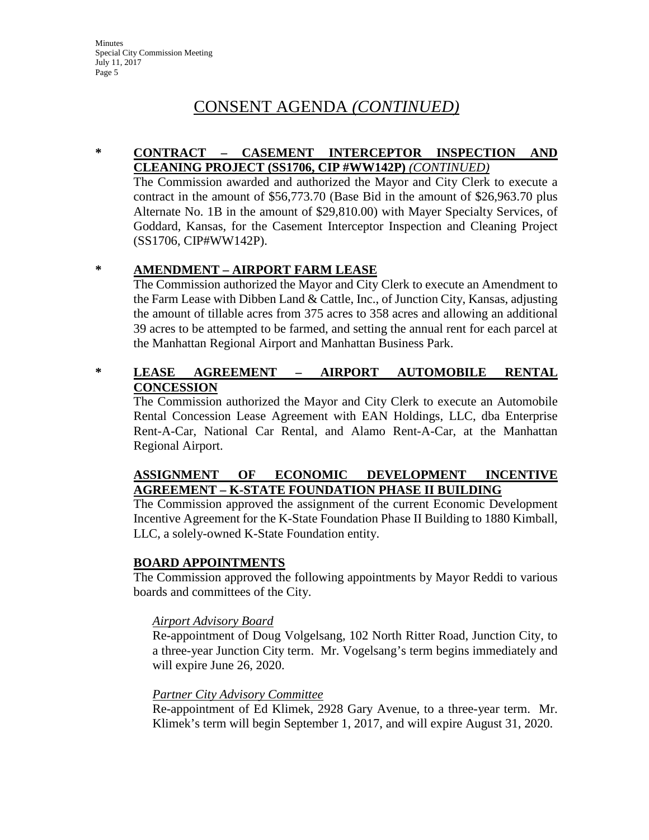### **\* CONTRACT – CASEMENT INTERCEPTOR INSPECTION AND CLEANING PROJECT (SS1706, CIP #WW142P)** *(CONTINUED)*

The Commission awarded and authorized the Mayor and City Clerk to execute a contract in the amount of \$56,773.70 (Base Bid in the amount of \$26,963.70 plus Alternate No. 1B in the amount of \$29,810.00) with Mayer Specialty Services, of Goddard, Kansas, for the Casement Interceptor Inspection and Cleaning Project (SS1706, CIP#WW142P).

## **\* AMENDMENT – AIRPORT FARM LEASE**

The Commission authorized the Mayor and City Clerk to execute an Amendment to the Farm Lease with Dibben Land & Cattle, Inc., of Junction City, Kansas, adjusting the amount of tillable acres from 375 acres to 358 acres and allowing an additional 39 acres to be attempted to be farmed, and setting the annual rent for each parcel at the Manhattan Regional Airport and Manhattan Business Park.

## **\* LEASE AGREEMENT – AIRPORT AUTOMOBILE RENTAL CONCESSION**

The Commission authorized the Mayor and City Clerk to execute an Automobile Rental Concession Lease Agreement with EAN Holdings, LLC, dba Enterprise Rent-A-Car, National Car Rental, and Alamo Rent-A-Car, at the Manhattan Regional Airport.

## **ASSIGNMENT OF ECONOMIC DEVELOPMENT INCENTIVE AGREEMENT – K-STATE FOUNDATION PHASE II BUILDING**

The Commission approved the assignment of the current Economic Development Incentive Agreement for the K-State Foundation Phase II Building to 1880 Kimball, LLC, a solely-owned K-State Foundation entity.

## **BOARD APPOINTMENTS**

The Commission approved the following appointments by Mayor Reddi to various boards and committees of the City.

#### *Airport Advisory Board*

Re-appointment of Doug Volgelsang, 102 North Ritter Road, Junction City, to a three-year Junction City term. Mr. Vogelsang's term begins immediately and will expire June 26, 2020.

## *Partner City Advisory Committee*

Re-appointment of Ed Klimek, 2928 Gary Avenue, to a three-year term. Mr. Klimek's term will begin September 1, 2017, and will expire August 31, 2020.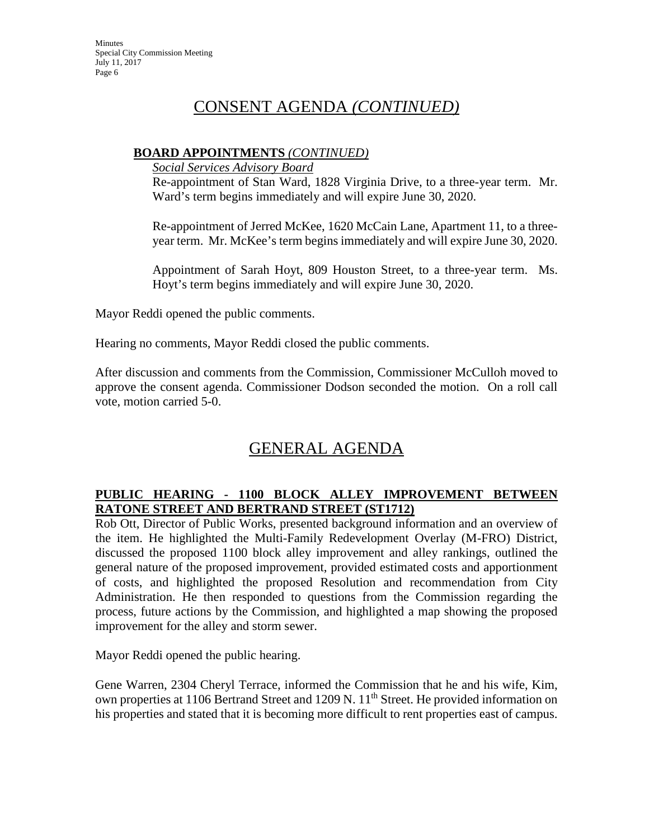# **BOARD APPOINTMENTS** *(CONTINUED)*

*Social Services Advisory Board*

Re-appointment of Stan Ward, 1828 Virginia Drive, to a three-year term. Mr. Ward's term begins immediately and will expire June 30, 2020.

Re-appointment of Jerred McKee, 1620 McCain Lane, Apartment 11, to a threeyear term. Mr. McKee's term begins immediately and will expire June 30, 2020.

Appointment of Sarah Hoyt, 809 Houston Street, to a three-year term. Ms. Hoyt's term begins immediately and will expire June 30, 2020.

Mayor Reddi opened the public comments.

Hearing no comments, Mayor Reddi closed the public comments.

After discussion and comments from the Commission, Commissioner McCulloh moved to approve the consent agenda. Commissioner Dodson seconded the motion. On a roll call vote, motion carried 5-0.

# GENERAL AGENDA

# **PUBLIC HEARING - 1100 BLOCK ALLEY IMPROVEMENT BETWEEN RATONE STREET AND BERTRAND STREET (ST1712)**

Rob Ott, Director of Public Works, presented background information and an overview of the item. He highlighted the Multi-Family Redevelopment Overlay (M-FRO) District, discussed the proposed 1100 block alley improvement and alley rankings, outlined the general nature of the proposed improvement, provided estimated costs and apportionment of costs, and highlighted the proposed Resolution and recommendation from City Administration. He then responded to questions from the Commission regarding the process, future actions by the Commission, and highlighted a map showing the proposed improvement for the alley and storm sewer.

Mayor Reddi opened the public hearing.

Gene Warren, 2304 Cheryl Terrace, informed the Commission that he and his wife, Kim, own properties at 1106 Bertrand Street and 1209 N. 11<sup>th</sup> Street. He provided information on his properties and stated that it is becoming more difficult to rent properties east of campus.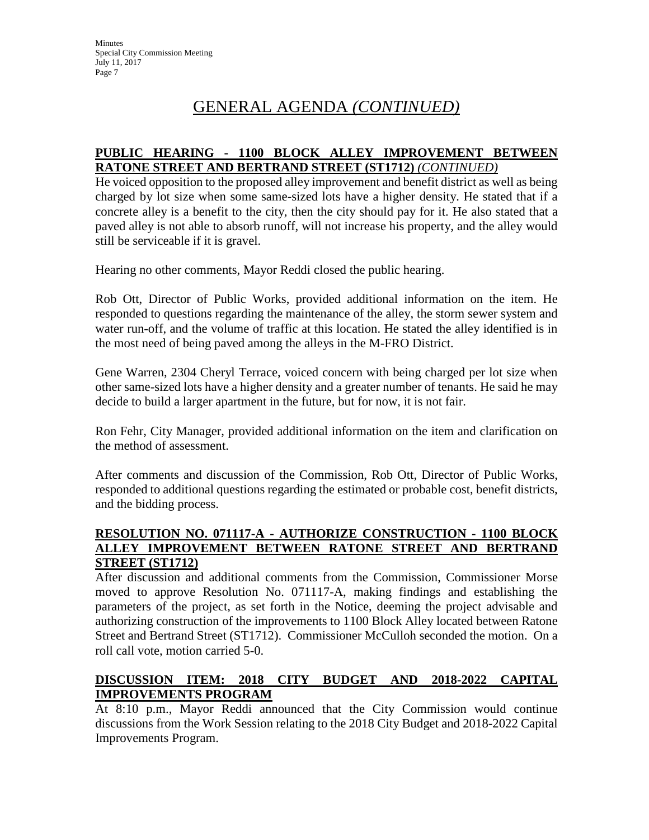# GENERAL AGENDA *(CONTINUED)*

### **PUBLIC HEARING - 1100 BLOCK ALLEY IMPROVEMENT BETWEEN RATONE STREET AND BERTRAND STREET (ST1712)** *(CONTINUED)*

He voiced opposition to the proposed alley improvement and benefit district as well as being charged by lot size when some same-sized lots have a higher density. He stated that if a concrete alley is a benefit to the city, then the city should pay for it. He also stated that a paved alley is not able to absorb runoff, will not increase his property, and the alley would still be serviceable if it is gravel.

Hearing no other comments, Mayor Reddi closed the public hearing.

Rob Ott, Director of Public Works, provided additional information on the item. He responded to questions regarding the maintenance of the alley, the storm sewer system and water run-off, and the volume of traffic at this location. He stated the alley identified is in the most need of being paved among the alleys in the M-FRO District.

Gene Warren, 2304 Cheryl Terrace, voiced concern with being charged per lot size when other same-sized lots have a higher density and a greater number of tenants. He said he may decide to build a larger apartment in the future, but for now, it is not fair.

Ron Fehr, City Manager, provided additional information on the item and clarification on the method of assessment.

After comments and discussion of the Commission, Rob Ott, Director of Public Works, responded to additional questions regarding the estimated or probable cost, benefit districts, and the bidding process.

### **RESOLUTION NO. 071117-A - AUTHORIZE CONSTRUCTION - 1100 BLOCK ALLEY IMPROVEMENT BETWEEN RATONE STREET AND BERTRAND STREET (ST1712)**

After discussion and additional comments from the Commission, Commissioner Morse moved to approve Resolution No. 071117-A, making findings and establishing the parameters of the project, as set forth in the Notice, deeming the project advisable and authorizing construction of the improvements to 1100 Block Alley located between Ratone Street and Bertrand Street (ST1712). Commissioner McCulloh seconded the motion. On a roll call vote, motion carried 5-0.

# **DISCUSSION ITEM: 2018 CITY BUDGET AND 2018-2022 CAPITAL IMPROVEMENTS PROGRAM**

At 8:10 p.m., Mayor Reddi announced that the City Commission would continue discussions from the Work Session relating to the 2018 City Budget and 2018-2022 Capital Improvements Program.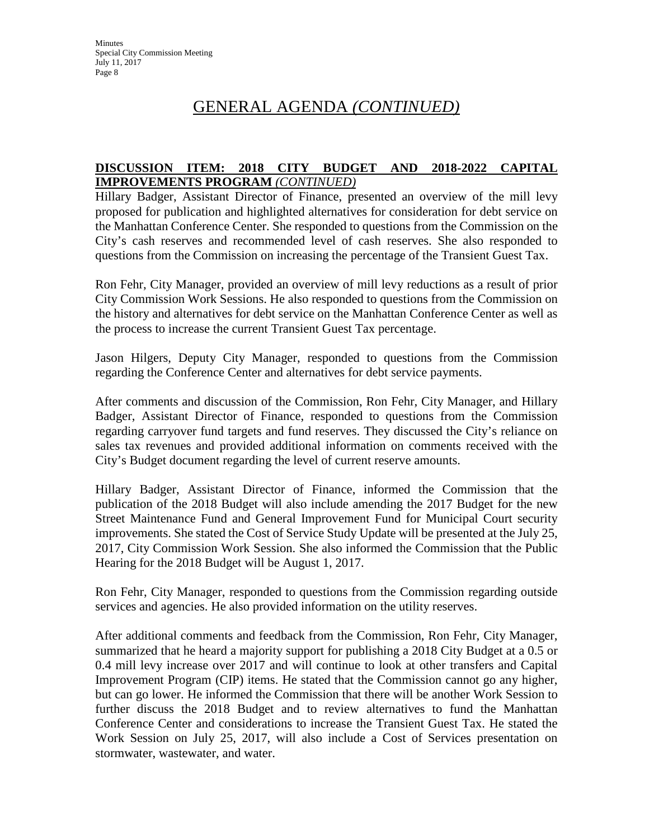# GENERAL AGENDA *(CONTINUED)*

# **DISCUSSION ITEM: 2018 CITY BUDGET AND 2018-2022 CAPITAL IMPROVEMENTS PROGRAM** *(CONTINUED)*

Hillary Badger, Assistant Director of Finance, presented an overview of the mill levy proposed for publication and highlighted alternatives for consideration for debt service on the Manhattan Conference Center. She responded to questions from the Commission on the City's cash reserves and recommended level of cash reserves. She also responded to questions from the Commission on increasing the percentage of the Transient Guest Tax.

Ron Fehr, City Manager, provided an overview of mill levy reductions as a result of prior City Commission Work Sessions. He also responded to questions from the Commission on the history and alternatives for debt service on the Manhattan Conference Center as well as the process to increase the current Transient Guest Tax percentage.

Jason Hilgers, Deputy City Manager, responded to questions from the Commission regarding the Conference Center and alternatives for debt service payments.

After comments and discussion of the Commission, Ron Fehr, City Manager, and Hillary Badger, Assistant Director of Finance, responded to questions from the Commission regarding carryover fund targets and fund reserves. They discussed the City's reliance on sales tax revenues and provided additional information on comments received with the City's Budget document regarding the level of current reserve amounts.

Hillary Badger, Assistant Director of Finance, informed the Commission that the publication of the 2018 Budget will also include amending the 2017 Budget for the new Street Maintenance Fund and General Improvement Fund for Municipal Court security improvements. She stated the Cost of Service Study Update will be presented at the July 25, 2017, City Commission Work Session. She also informed the Commission that the Public Hearing for the 2018 Budget will be August 1, 2017.

Ron Fehr, City Manager, responded to questions from the Commission regarding outside services and agencies. He also provided information on the utility reserves.

After additional comments and feedback from the Commission, Ron Fehr, City Manager, summarized that he heard a majority support for publishing a 2018 City Budget at a 0.5 or 0.4 mill levy increase over 2017 and will continue to look at other transfers and Capital Improvement Program (CIP) items. He stated that the Commission cannot go any higher, but can go lower. He informed the Commission that there will be another Work Session to further discuss the 2018 Budget and to review alternatives to fund the Manhattan Conference Center and considerations to increase the Transient Guest Tax. He stated the Work Session on July 25, 2017, will also include a Cost of Services presentation on stormwater, wastewater, and water.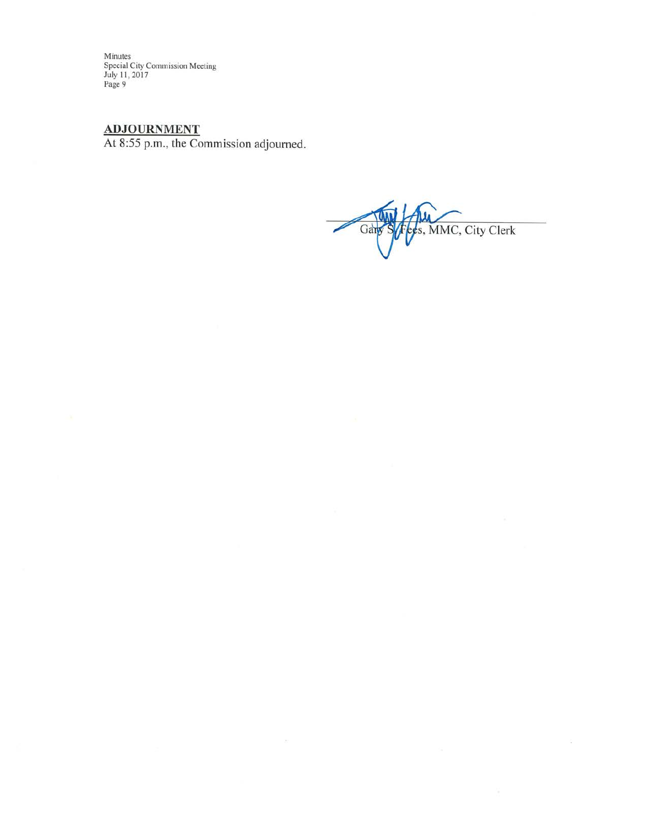Minutes Special City Commission Meeting<br>July 11, 2017<br>Page 9

### **ADJOURNMENT**

At 8:55 p.m., the Commission adjourned.

 $\overline{\chi}$ 

ees, MMC, City Clerk Gary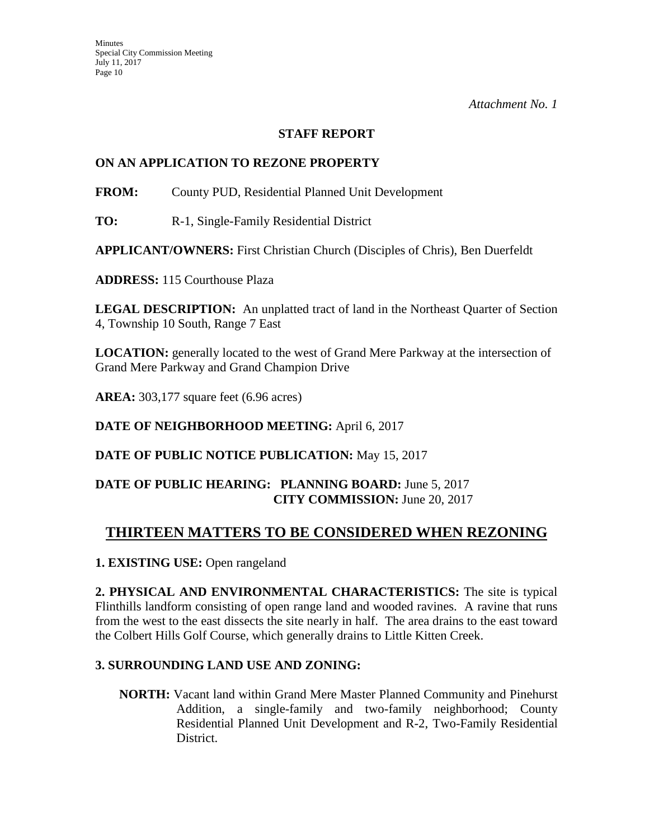# **STAFF REPORT**

# **ON AN APPLICATION TO REZONE PROPERTY**

**FROM:** County PUD, Residential Planned Unit Development

**TO:** R-1, Single-Family Residential District

**APPLICANT/OWNERS:** First Christian Church (Disciples of Chris), Ben Duerfeldt

**ADDRESS:** 115 Courthouse Plaza

**LEGAL DESCRIPTION:** An unplatted tract of land in the Northeast Quarter of Section 4, Township 10 South, Range 7 East

**LOCATION:** generally located to the west of Grand Mere Parkway at the intersection of Grand Mere Parkway and Grand Champion Drive

**AREA:** 303,177 square feet (6.96 acres)

**DATE OF NEIGHBORHOOD MEETING:** April 6, 2017

**DATE OF PUBLIC NOTICE PUBLICATION:** May 15, 2017

# **DATE OF PUBLIC HEARING: PLANNING BOARD:** June 5, 2017 **CITY COMMISSION:** June 20, 2017

# **THIRTEEN MATTERS TO BE CONSIDERED WHEN REZONING**

**1. EXISTING USE:** Open rangeland

**2. PHYSICAL AND ENVIRONMENTAL CHARACTERISTICS:** The site is typical Flinthills landform consisting of open range land and wooded ravines. A ravine that runs from the west to the east dissects the site nearly in half. The area drains to the east toward the Colbert Hills Golf Course, which generally drains to Little Kitten Creek.

# **3. SURROUNDING LAND USE AND ZONING:**

**NORTH:** Vacant land within Grand Mere Master Planned Community and Pinehurst Addition, a single-family and two-family neighborhood; County Residential Planned Unit Development and R-2, Two-Family Residential District.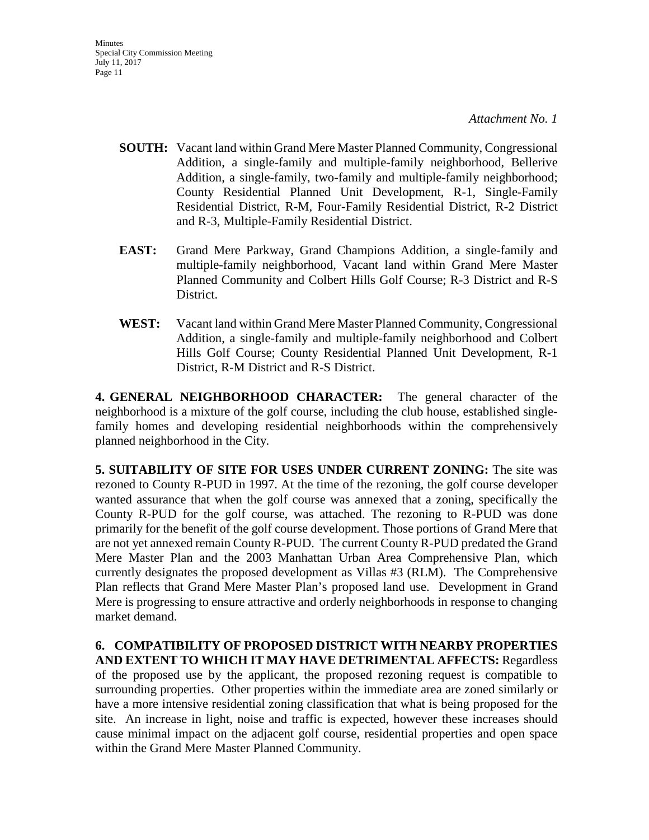- **SOUTH:** Vacant land within Grand Mere Master Planned Community, Congressional Addition, a single-family and multiple-family neighborhood, Bellerive Addition, a single-family, two-family and multiple-family neighborhood; County Residential Planned Unit Development, R-1, Single-Family Residential District, R-M, Four-Family Residential District, R-2 District and R-3, Multiple-Family Residential District.
- **EAST:** Grand Mere Parkway, Grand Champions Addition, a single-family and multiple-family neighborhood, Vacant land within Grand Mere Master Planned Community and Colbert Hills Golf Course; R-3 District and R-S District.
- **WEST:** Vacant land within Grand Mere Master Planned Community, Congressional Addition, a single-family and multiple-family neighborhood and Colbert Hills Golf Course; County Residential Planned Unit Development, R-1 District, R-M District and R-S District.

**4. GENERAL NEIGHBORHOOD CHARACTER:** The general character of the neighborhood is a mixture of the golf course, including the club house, established singlefamily homes and developing residential neighborhoods within the comprehensively planned neighborhood in the City.

**5. SUITABILITY OF SITE FOR USES UNDER CURRENT ZONING:** The site was rezoned to County R-PUD in 1997. At the time of the rezoning, the golf course developer wanted assurance that when the golf course was annexed that a zoning, specifically the County R-PUD for the golf course, was attached. The rezoning to R-PUD was done primarily for the benefit of the golf course development. Those portions of Grand Mere that are not yet annexed remain County R-PUD. The current County R-PUD predated the Grand Mere Master Plan and the 2003 Manhattan Urban Area Comprehensive Plan, which currently designates the proposed development as Villas #3 (RLM). The Comprehensive Plan reflects that Grand Mere Master Plan's proposed land use. Development in Grand Mere is progressing to ensure attractive and orderly neighborhoods in response to changing market demand.

**6. COMPATIBILITY OF PROPOSED DISTRICT WITH NEARBY PROPERTIES AND EXTENT TO WHICH IT MAY HAVE DETRIMENTAL AFFECTS:** Regardless of the proposed use by the applicant, the proposed rezoning request is compatible to surrounding properties. Other properties within the immediate area are zoned similarly or have a more intensive residential zoning classification that what is being proposed for the site. An increase in light, noise and traffic is expected, however these increases should cause minimal impact on the adjacent golf course, residential properties and open space within the Grand Mere Master Planned Community.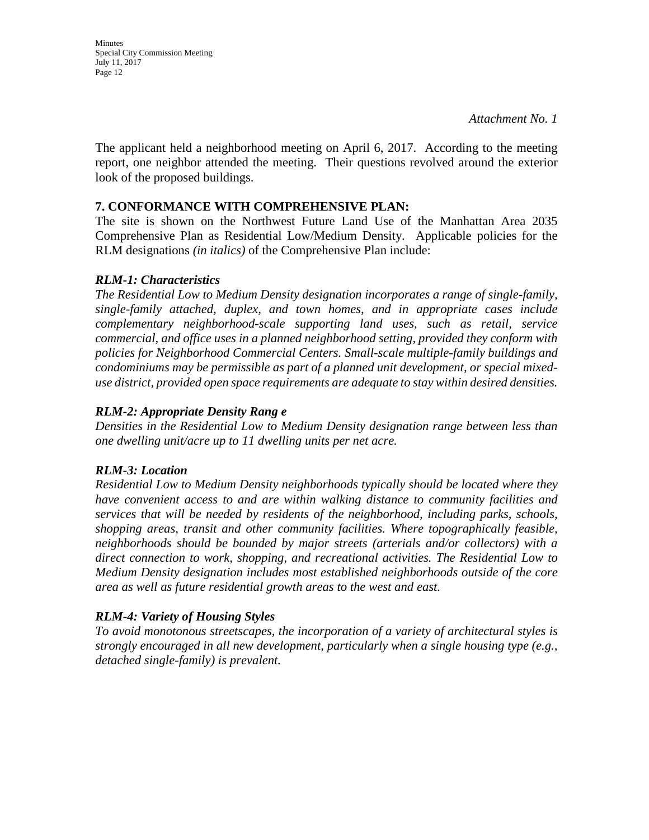**Minutes** Special City Commission Meeting July 11, 2017 Page 12

*Attachment No. 1*

The applicant held a neighborhood meeting on April 6, 2017. According to the meeting report, one neighbor attended the meeting. Their questions revolved around the exterior look of the proposed buildings.

### **7. CONFORMANCE WITH COMPREHENSIVE PLAN:**

The site is shown on the Northwest Future Land Use of the Manhattan Area 2035 Comprehensive Plan as Residential Low/Medium Density. Applicable policies for the RLM designations *(in italics)* of the Comprehensive Plan include:

### *RLM-1: Characteristics*

*The Residential Low to Medium Density designation incorporates a range of single-family, single-family attached, duplex, and town homes, and in appropriate cases include complementary neighborhood-scale supporting land uses, such as retail, service commercial, and office uses in a planned neighborhood setting, provided they conform with policies for Neighborhood Commercial Centers. Small-scale multiple-family buildings and condominiums may be permissible as part of a planned unit development, or special mixeduse district, provided open space requirements are adequate to stay within desired densities.*

## *RLM-2: Appropriate Density Rang e*

*Densities in the Residential Low to Medium Density designation range between less than one dwelling unit/acre up to 11 dwelling units per net acre.* 

## *RLM-3: Location*

*Residential Low to Medium Density neighborhoods typically should be located where they have convenient access to and are within walking distance to community facilities and services that will be needed by residents of the neighborhood, including parks, schools, shopping areas, transit and other community facilities. Where topographically feasible, neighborhoods should be bounded by major streets (arterials and/or collectors) with a direct connection to work, shopping, and recreational activities. The Residential Low to Medium Density designation includes most established neighborhoods outside of the core area as well as future residential growth areas to the west and east.* 

## *RLM-4: Variety of Housing Styles*

*To avoid monotonous streetscapes, the incorporation of a variety of architectural styles is strongly encouraged in all new development, particularly when a single housing type (e.g., detached single-family) is prevalent.*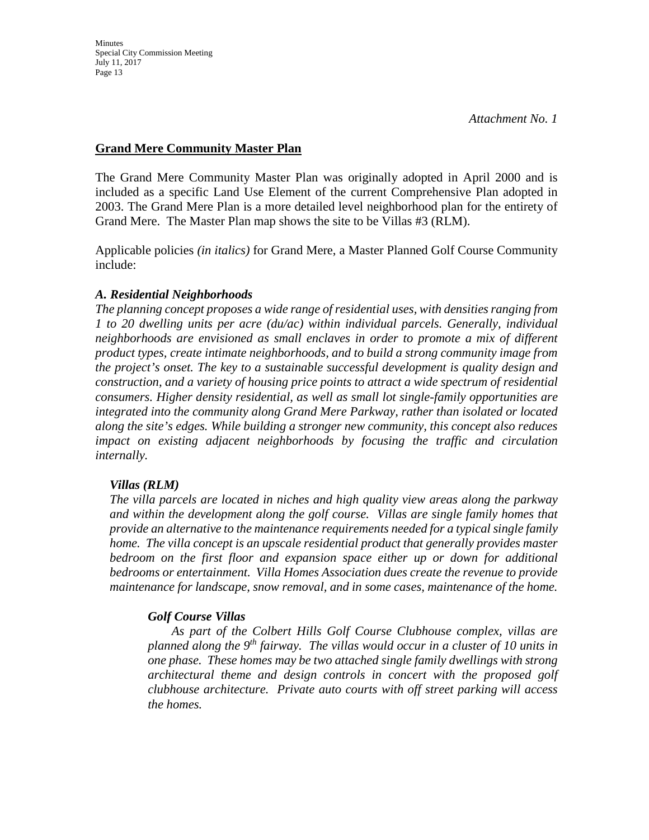# **Grand Mere Community Master Plan**

The Grand Mere Community Master Plan was originally adopted in April 2000 and is included as a specific Land Use Element of the current Comprehensive Plan adopted in 2003. The Grand Mere Plan is a more detailed level neighborhood plan for the entirety of Grand Mere. The Master Plan map shows the site to be Villas #3 (RLM).

Applicable policies *(in italics)* for Grand Mere, a Master Planned Golf Course Community include:

## *A. Residential Neighborhoods*

*The planning concept proposes a wide range of residential uses, with densities ranging from 1 to 20 dwelling units per acre (du/ac) within individual parcels. Generally, individual neighborhoods are envisioned as small enclaves in order to promote a mix of different product types, create intimate neighborhoods, and to build a strong community image from the project's onset. The key to a sustainable successful development is quality design and construction, and a variety of housing price points to attract a wide spectrum of residential consumers. Higher density residential, as well as small lot single-family opportunities are integrated into the community along Grand Mere Parkway, rather than isolated or located along the site's edges. While building a stronger new community, this concept also reduces impact on existing adjacent neighborhoods by focusing the traffic and circulation internally.*

## *Villas (RLM)*

*The villa parcels are located in niches and high quality view areas along the parkway and within the development along the golf course. Villas are single family homes that provide an alternative to the maintenance requirements needed for a typical single family home. The villa concept is an upscale residential product that generally provides master bedroom on the first floor and expansion space either up or down for additional bedrooms or entertainment. Villa Homes Association dues create the revenue to provide maintenance for landscape, snow removal, and in some cases, maintenance of the home.*

# *Golf Course Villas*

*As part of the Colbert Hills Golf Course Clubhouse complex, villas are planned along the 9th fairway. The villas would occur in a cluster of 10 units in one phase. These homes may be two attached single family dwellings with strong architectural theme and design controls in concert with the proposed golf clubhouse architecture. Private auto courts with off street parking will access the homes.*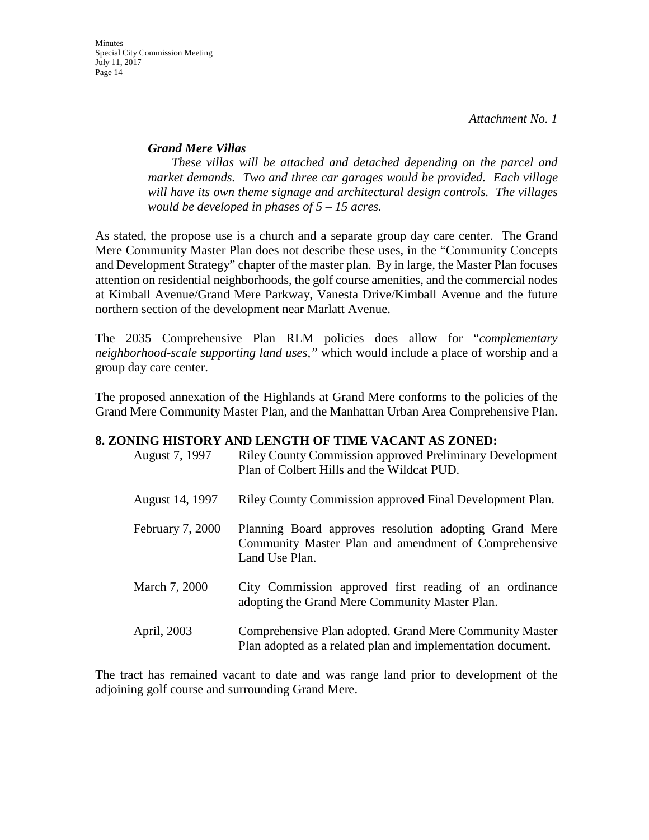### *Grand Mere Villas*

*These villas will be attached and detached depending on the parcel and market demands. Two and three car garages would be provided. Each village will have its own theme signage and architectural design controls. The villages would be developed in phases of 5 – 15 acres.* 

As stated, the propose use is a church and a separate group day care center. The Grand Mere Community Master Plan does not describe these uses, in the "Community Concepts and Development Strategy" chapter of the master plan. By in large, the Master Plan focuses attention on residential neighborhoods, the golf course amenities, and the commercial nodes at Kimball Avenue/Grand Mere Parkway, Vanesta Drive/Kimball Avenue and the future northern section of the development near Marlatt Avenue.

The 2035 Comprehensive Plan RLM policies does allow for "*complementary neighborhood-scale supporting land uses,"* which would include a place of worship and a group day care center.

The proposed annexation of the Highlands at Grand Mere conforms to the policies of the Grand Mere Community Master Plan, and the Manhattan Urban Area Comprehensive Plan.

#### **8. ZONING HISTORY AND LENGTH OF TIME VACANT AS ZONED:**

| August 7, 1997   | <b>Riley County Commission approved Preliminary Development</b><br>Plan of Colbert Hills and the Wildcat PUD.                    |
|------------------|----------------------------------------------------------------------------------------------------------------------------------|
| August 14, 1997  | Riley County Commission approved Final Development Plan.                                                                         |
| February 7, 2000 | Planning Board approves resolution adopting Grand Mere<br>Community Master Plan and amendment of Comprehensive<br>Land Use Plan. |
| March 7, 2000    | City Commission approved first reading of an ordinance<br>adopting the Grand Mere Community Master Plan.                         |
| April, 2003      | Comprehensive Plan adopted. Grand Mere Community Master<br>Plan adopted as a related plan and implementation document.           |

The tract has remained vacant to date and was range land prior to development of the adjoining golf course and surrounding Grand Mere.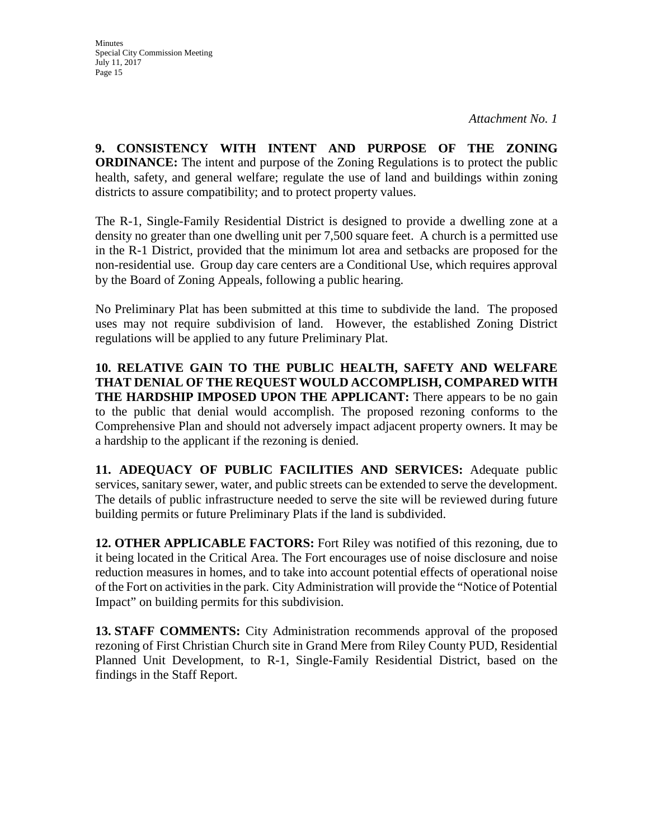**9. CONSISTENCY WITH INTENT AND PURPOSE OF THE ZONING ORDINANCE:** The intent and purpose of the Zoning Regulations is to protect the public health, safety, and general welfare; regulate the use of land and buildings within zoning districts to assure compatibility; and to protect property values.

The R-1, Single-Family Residential District is designed to provide a dwelling zone at a density no greater than one dwelling unit per 7,500 square feet. A church is a permitted use in the R-1 District, provided that the minimum lot area and setbacks are proposed for the non-residential use. Group day care centers are a Conditional Use, which requires approval by the Board of Zoning Appeals, following a public hearing.

No Preliminary Plat has been submitted at this time to subdivide the land. The proposed uses may not require subdivision of land. However, the established Zoning District regulations will be applied to any future Preliminary Plat.

**10. RELATIVE GAIN TO THE PUBLIC HEALTH, SAFETY AND WELFARE THAT DENIAL OF THE REQUEST WOULD ACCOMPLISH, COMPARED WITH THE HARDSHIP IMPOSED UPON THE APPLICANT:** There appears to be no gain to the public that denial would accomplish. The proposed rezoning conforms to the Comprehensive Plan and should not adversely impact adjacent property owners. It may be a hardship to the applicant if the rezoning is denied.

**11. ADEQUACY OF PUBLIC FACILITIES AND SERVICES:** Adequate public services, sanitary sewer, water, and public streets can be extended to serve the development. The details of public infrastructure needed to serve the site will be reviewed during future building permits or future Preliminary Plats if the land is subdivided.

**12. OTHER APPLICABLE FACTORS:** Fort Riley was notified of this rezoning, due to it being located in the Critical Area. The Fort encourages use of noise disclosure and noise reduction measures in homes, and to take into account potential effects of operational noise of the Fort on activities in the park. City Administration will provide the "Notice of Potential Impact" on building permits for this subdivision.

**13. STAFF COMMENTS:** City Administration recommends approval of the proposed rezoning of First Christian Church site in Grand Mere from Riley County PUD, Residential Planned Unit Development, to R-1, Single-Family Residential District, based on the findings in the Staff Report.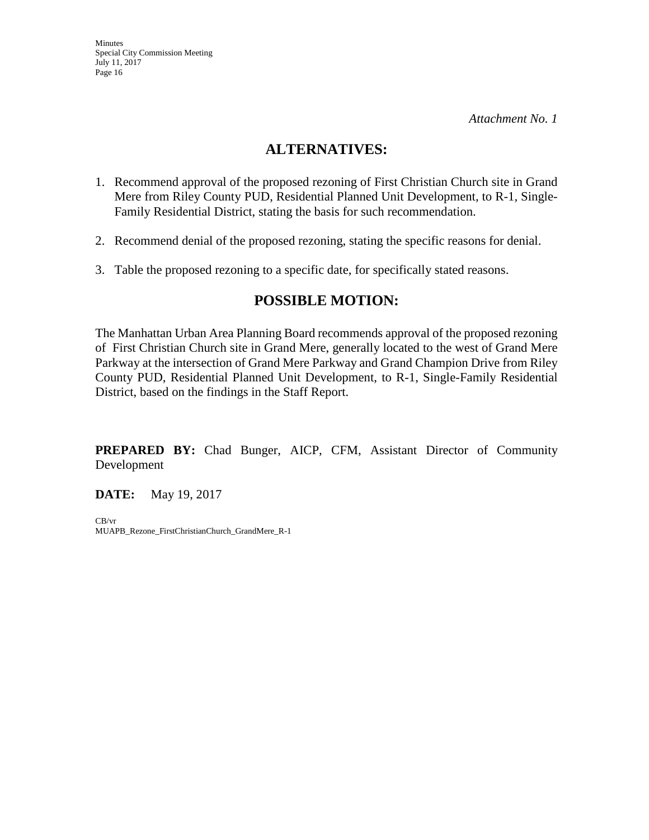# **ALTERNATIVES:**

- 1. Recommend approval of the proposed rezoning of First Christian Church site in Grand Mere from Riley County PUD, Residential Planned Unit Development, to R-1, Single-Family Residential District, stating the basis for such recommendation.
- 2. Recommend denial of the proposed rezoning, stating the specific reasons for denial.
- 3. Table the proposed rezoning to a specific date, for specifically stated reasons.

# **POSSIBLE MOTION:**

The Manhattan Urban Area Planning Board recommends approval of the proposed rezoning of First Christian Church site in Grand Mere, generally located to the west of Grand Mere Parkway at the intersection of Grand Mere Parkway and Grand Champion Drive from Riley County PUD, Residential Planned Unit Development, to R-1, Single-Family Residential District, based on the findings in the Staff Report.

**PREPARED BY:** Chad Bunger, AICP, CFM, Assistant Director of Community Development

**DATE:** May 19, 2017

CB/vr MUAPB\_Rezone\_FirstChristianChurch\_GrandMere\_R-1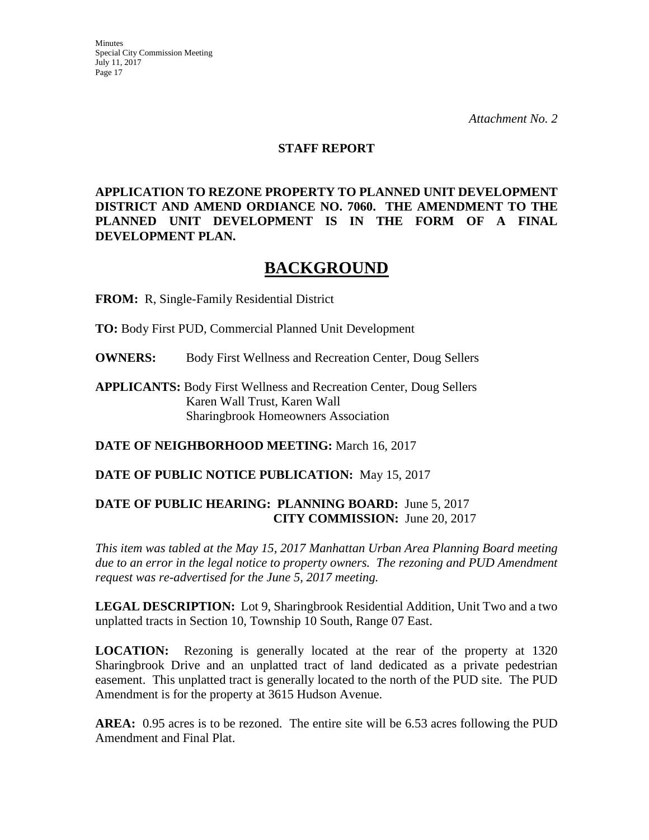#### **STAFF REPORT**

**APPLICATION TO REZONE PROPERTY TO PLANNED UNIT DEVELOPMENT DISTRICT AND AMEND ORDIANCE NO. 7060. THE AMENDMENT TO THE PLANNED UNIT DEVELOPMENT IS IN THE FORM OF A FINAL DEVELOPMENT PLAN.**

# **BACKGROUND**

**FROM:** R, Single-Family Residential District

**TO:** Body First PUD, Commercial Planned Unit Development

**OWNERS:** Body First Wellness and Recreation Center, Doug Sellers

**APPLICANTS:** Body First Wellness and Recreation Center, Doug Sellers Karen Wall Trust, Karen Wall Sharingbrook Homeowners Association

**DATE OF NEIGHBORHOOD MEETING:** March 16, 2017

**DATE OF PUBLIC NOTICE PUBLICATION:** May 15, 2017

### **DATE OF PUBLIC HEARING: PLANNING BOARD:** June 5, 2017 **CITY COMMISSION:** June 20, 2017

*This item was tabled at the May 15, 2017 Manhattan Urban Area Planning Board meeting due to an error in the legal notice to property owners. The rezoning and PUD Amendment request was re-advertised for the June 5, 2017 meeting.* 

**LEGAL DESCRIPTION:** Lot 9, Sharingbrook Residential Addition, Unit Two and a two unplatted tracts in Section 10, Township 10 South, Range 07 East.

**LOCATION:** Rezoning is generally located at the rear of the property at 1320 Sharingbrook Drive and an unplatted tract of land dedicated as a private pedestrian easement. This unplatted tract is generally located to the north of the PUD site. The PUD Amendment is for the property at 3615 Hudson Avenue.

**AREA:** 0.95 acres is to be rezoned. The entire site will be 6.53 acres following the PUD Amendment and Final Plat.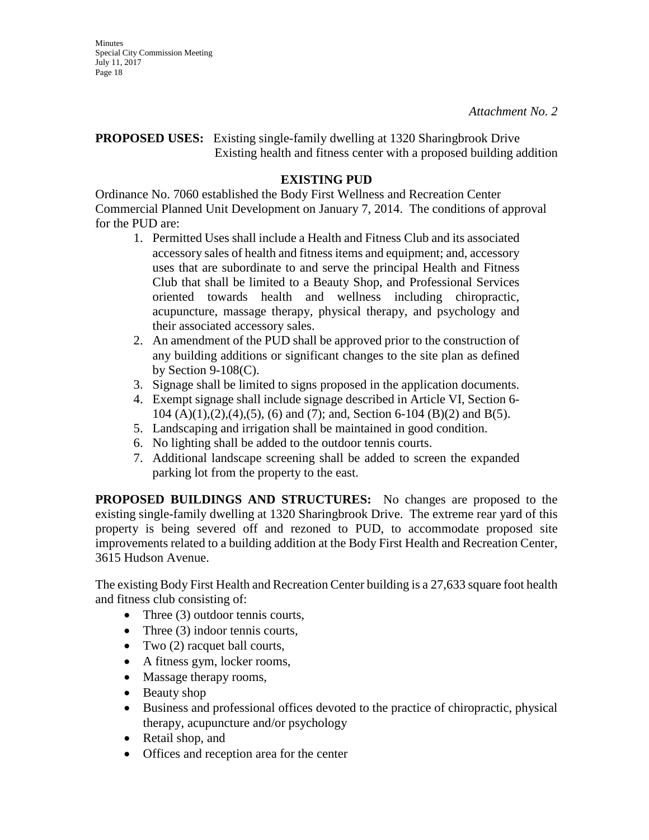**Minutes** Special City Commission Meeting July 11, 2017 Page 18

*Attachment No. 2*

## **PROPOSED USES:** Existing single-family dwelling at 1320 Sharingbrook Drive Existing health and fitness center with a proposed building addition

# **EXISTING PUD**

Ordinance No. 7060 established the Body First Wellness and Recreation Center Commercial Planned Unit Development on January 7, 2014. The conditions of approval for the PUD are:

- 1. Permitted Uses shall include a Health and Fitness Club and its associated accessory sales of health and fitness items and equipment; and, accessory uses that are subordinate to and serve the principal Health and Fitness Club that shall be limited to a Beauty Shop, and Professional Services oriented towards health and wellness including chiropractic, acupuncture, massage therapy, physical therapy, and psychology and their associated accessory sales.
- 2. An amendment of the PUD shall be approved prior to the construction of any building additions or significant changes to the site plan as defined by Section  $9-108(C)$ .
- 3. Signage shall be limited to signs proposed in the application documents.
- 4. Exempt signage shall include signage described in Article VI, Section 6- 104 (A)(1),(2),(4),(5), (6) and (7); and, Section 6-104 (B)(2) and B(5).
- 5. Landscaping and irrigation shall be maintained in good condition.
- 6. No lighting shall be added to the outdoor tennis courts.
- 7. Additional landscape screening shall be added to screen the expanded parking lot from the property to the east.

**PROPOSED BUILDINGS AND STRUCTURES:** No changes are proposed to the existing single-family dwelling at 1320 Sharingbrook Drive. The extreme rear yard of this property is being severed off and rezoned to PUD, to accommodate proposed site improvements related to a building addition at the Body First Health and Recreation Center, 3615 Hudson Avenue.

The existing Body First Health and Recreation Center building is a 27,633 square foot health and fitness club consisting of:

- Three (3) outdoor tennis courts,
- Three (3) indoor tennis courts,
- Two (2) racquet ball courts,
- A fitness gym, locker rooms,
- Massage therapy rooms,
- Beauty shop
- Business and professional offices devoted to the practice of chiropractic, physical therapy, acupuncture and/or psychology
- Retail shop, and
- Offices and reception area for the center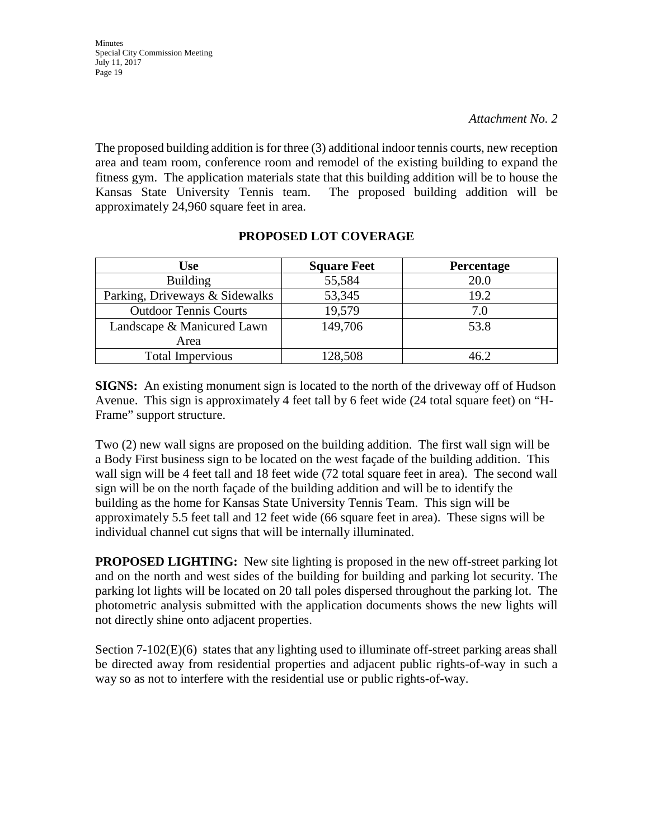The proposed building addition is for three (3) additional indoor tennis courts, new reception area and team room, conference room and remodel of the existing building to expand the fitness gym. The application materials state that this building addition will be to house the Kansas State University Tennis team. The proposed building addition will be approximately 24,960 square feet in area.

| <b>Use</b>                     | <b>Square Feet</b> | Percentage |
|--------------------------------|--------------------|------------|
| <b>Building</b>                | 55,584             | 20.0       |
| Parking, Driveways & Sidewalks | 53,345             | 19.2       |
| <b>Outdoor Tennis Courts</b>   | 19,579             | 7.0        |
| Landscape & Manicured Lawn     | 149,706            | 53.8       |
| Area                           |                    |            |
| <b>Total Impervious</b>        | 128,508            | 46.2       |

### **PROPOSED LOT COVERAGE**

**SIGNS:** An existing monument sign is located to the north of the driveway off of Hudson Avenue. This sign is approximately 4 feet tall by 6 feet wide (24 total square feet) on "H-Frame" support structure.

Two (2) new wall signs are proposed on the building addition. The first wall sign will be a Body First business sign to be located on the west façade of the building addition. This wall sign will be 4 feet tall and 18 feet wide (72 total square feet in area). The second wall sign will be on the north façade of the building addition and will be to identify the building as the home for Kansas State University Tennis Team. This sign will be approximately 5.5 feet tall and 12 feet wide (66 square feet in area). These signs will be individual channel cut signs that will be internally illuminated.

**PROPOSED LIGHTING:** New site lighting is proposed in the new off-street parking lot and on the north and west sides of the building for building and parking lot security. The parking lot lights will be located on 20 tall poles dispersed throughout the parking lot. The photometric analysis submitted with the application documents shows the new lights will not directly shine onto adjacent properties.

Section  $7-102(E)(6)$  states that any lighting used to illuminate off-street parking areas shall be directed away from residential properties and adjacent public rights-of-way in such a way so as not to interfere with the residential use or public rights-of-way.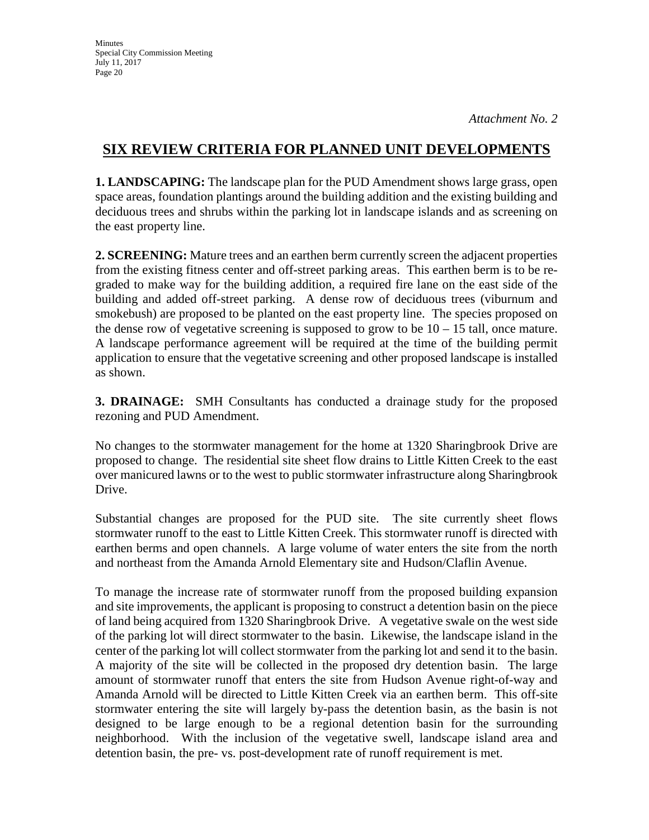# **SIX REVIEW CRITERIA FOR PLANNED UNIT DEVELOPMENTS**

**1. LANDSCAPING:** The landscape plan for the PUD Amendment shows large grass, open space areas, foundation plantings around the building addition and the existing building and deciduous trees and shrubs within the parking lot in landscape islands and as screening on the east property line.

**2. SCREENING:** Mature trees and an earthen berm currently screen the adjacent properties from the existing fitness center and off-street parking areas. This earthen berm is to be regraded to make way for the building addition, a required fire lane on the east side of the building and added off-street parking. A dense row of deciduous trees (viburnum and smokebush) are proposed to be planted on the east property line. The species proposed on the dense row of vegetative screening is supposed to grow to be  $10 - 15$  tall, once mature. A landscape performance agreement will be required at the time of the building permit application to ensure that the vegetative screening and other proposed landscape is installed as shown.

**3. DRAINAGE:** SMH Consultants has conducted a drainage study for the proposed rezoning and PUD Amendment.

No changes to the stormwater management for the home at 1320 Sharingbrook Drive are proposed to change. The residential site sheet flow drains to Little Kitten Creek to the east over manicured lawns or to the west to public stormwater infrastructure along Sharingbrook Drive.

Substantial changes are proposed for the PUD site. The site currently sheet flows stormwater runoff to the east to Little Kitten Creek. This stormwater runoff is directed with earthen berms and open channels. A large volume of water enters the site from the north and northeast from the Amanda Arnold Elementary site and Hudson/Claflin Avenue.

To manage the increase rate of stormwater runoff from the proposed building expansion and site improvements, the applicant is proposing to construct a detention basin on the piece of land being acquired from 1320 Sharingbrook Drive. A vegetative swale on the west side of the parking lot will direct stormwater to the basin. Likewise, the landscape island in the center of the parking lot will collect stormwater from the parking lot and send it to the basin. A majority of the site will be collected in the proposed dry detention basin. The large amount of stormwater runoff that enters the site from Hudson Avenue right-of-way and Amanda Arnold will be directed to Little Kitten Creek via an earthen berm. This off-site stormwater entering the site will largely by-pass the detention basin, as the basin is not designed to be large enough to be a regional detention basin for the surrounding neighborhood. With the inclusion of the vegetative swell, landscape island area and detention basin, the pre- vs. post-development rate of runoff requirement is met.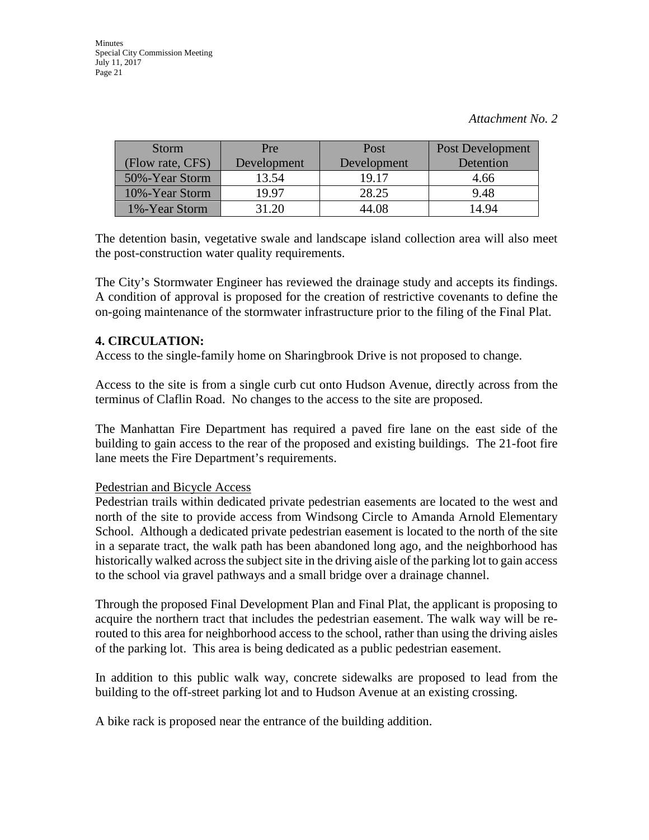| <b>Storm</b>     | Pre         | Post        | Post Development |
|------------------|-------------|-------------|------------------|
| (Flow rate, CFS) | Development | Development | Detention        |
| 50%-Year Storm   | 13.54       | 19.17       | 4.66             |
| 10%-Year Storm   | 19.97       | 28.25       | 9.48             |
| 1%-Year Storm    | 31.20       | 44.08       | 14.94            |

The detention basin, vegetative swale and landscape island collection area will also meet the post-construction water quality requirements.

The City's Stormwater Engineer has reviewed the drainage study and accepts its findings. A condition of approval is proposed for the creation of restrictive covenants to define the on-going maintenance of the stormwater infrastructure prior to the filing of the Final Plat.

### **4. CIRCULATION:**

Access to the single-family home on Sharingbrook Drive is not proposed to change.

Access to the site is from a single curb cut onto Hudson Avenue, directly across from the terminus of Claflin Road. No changes to the access to the site are proposed.

The Manhattan Fire Department has required a paved fire lane on the east side of the building to gain access to the rear of the proposed and existing buildings. The 21-foot fire lane meets the Fire Department's requirements.

#### Pedestrian and Bicycle Access

Pedestrian trails within dedicated private pedestrian easements are located to the west and north of the site to provide access from Windsong Circle to Amanda Arnold Elementary School. Although a dedicated private pedestrian easement is located to the north of the site in a separate tract, the walk path has been abandoned long ago, and the neighborhood has historically walked across the subject site in the driving aisle of the parking lot to gain access to the school via gravel pathways and a small bridge over a drainage channel.

Through the proposed Final Development Plan and Final Plat, the applicant is proposing to acquire the northern tract that includes the pedestrian easement. The walk way will be rerouted to this area for neighborhood access to the school, rather than using the driving aisles of the parking lot. This area is being dedicated as a public pedestrian easement.

In addition to this public walk way, concrete sidewalks are proposed to lead from the building to the off-street parking lot and to Hudson Avenue at an existing crossing.

A bike rack is proposed near the entrance of the building addition.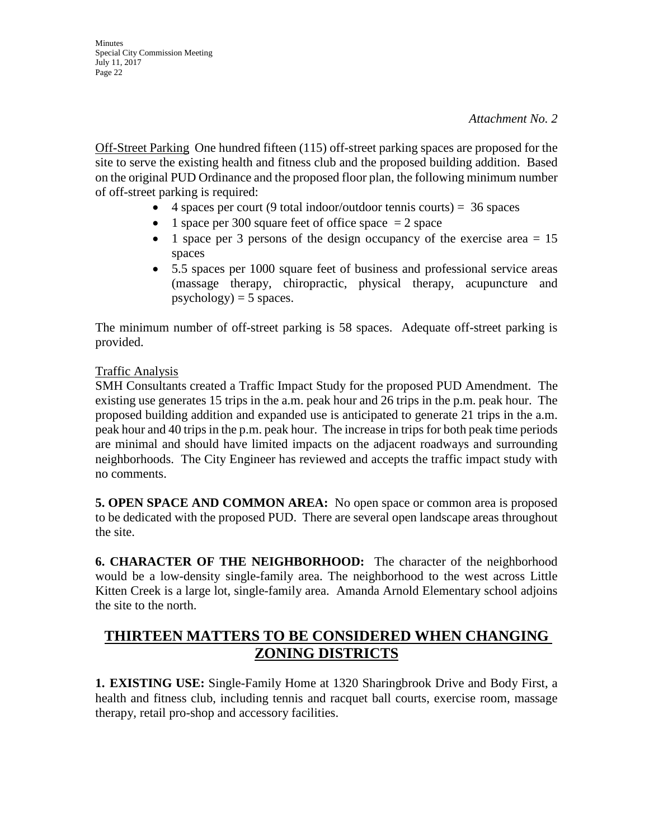Off-Street Parking One hundred fifteen (115) off-street parking spaces are proposed for the site to serve the existing health and fitness club and the proposed building addition. Based on the original PUD Ordinance and the proposed floor plan, the following minimum number of off-street parking is required:

- 4 spaces per court (9 total indoor/outdoor tennis courts) =  $36$  spaces
- 1 space per 300 square feet of office space  $= 2$  space
- 1 space per 3 persons of the design occupancy of the exercise area  $= 15$ spaces
- 5.5 spaces per 1000 square feet of business and professional service areas (massage therapy, chiropractic, physical therapy, acupuncture and  $psychology) = 5 spaces.$

The minimum number of off-street parking is 58 spaces. Adequate off-street parking is provided.

#### Traffic Analysis

SMH Consultants created a Traffic Impact Study for the proposed PUD Amendment. The existing use generates 15 trips in the a.m. peak hour and 26 trips in the p.m. peak hour. The proposed building addition and expanded use is anticipated to generate 21 trips in the a.m. peak hour and 40 trips in the p.m. peak hour. The increase in trips for both peak time periods are minimal and should have limited impacts on the adjacent roadways and surrounding neighborhoods. The City Engineer has reviewed and accepts the traffic impact study with no comments.

**5. OPEN SPACE AND COMMON AREA:** No open space or common area is proposed to be dedicated with the proposed PUD. There are several open landscape areas throughout the site.

**6. CHARACTER OF THE NEIGHBORHOOD:** The character of the neighborhood would be a low-density single-family area. The neighborhood to the west across Little Kitten Creek is a large lot, single-family area. Amanda Arnold Elementary school adjoins the site to the north.

# **THIRTEEN MATTERS TO BE CONSIDERED WHEN CHANGING ZONING DISTRICTS**

**1. EXISTING USE:** Single-Family Home at 1320 Sharingbrook Drive and Body First, a health and fitness club, including tennis and racquet ball courts, exercise room, massage therapy, retail pro-shop and accessory facilities.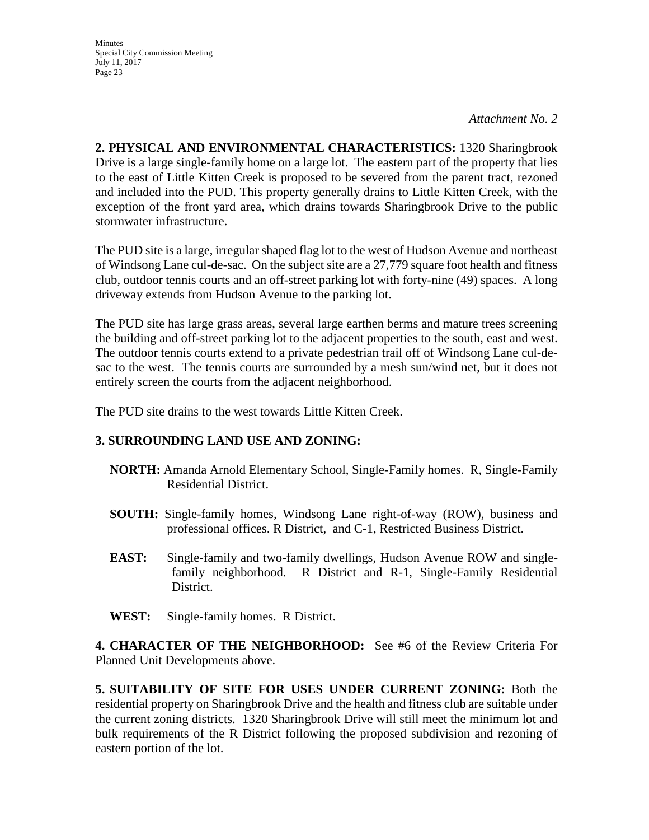**Minutes** Special City Commission Meeting July 11, 2017 Page 23

*Attachment No. 2*

**2. PHYSICAL AND ENVIRONMENTAL CHARACTERISTICS:** 1320 Sharingbrook Drive is a large single-family home on a large lot. The eastern part of the property that lies to the east of Little Kitten Creek is proposed to be severed from the parent tract, rezoned and included into the PUD. This property generally drains to Little Kitten Creek, with the exception of the front yard area, which drains towards Sharingbrook Drive to the public stormwater infrastructure.

The PUD site is a large, irregular shaped flag lot to the west of Hudson Avenue and northeast of Windsong Lane cul-de-sac. On the subject site are a 27,779 square foot health and fitness club, outdoor tennis courts and an off-street parking lot with forty-nine (49) spaces. A long driveway extends from Hudson Avenue to the parking lot.

The PUD site has large grass areas, several large earthen berms and mature trees screening the building and off-street parking lot to the adjacent properties to the south, east and west. The outdoor tennis courts extend to a private pedestrian trail off of Windsong Lane cul-desac to the west. The tennis courts are surrounded by a mesh sun/wind net, but it does not entirely screen the courts from the adjacent neighborhood.

The PUD site drains to the west towards Little Kitten Creek.

## **3. SURROUNDING LAND USE AND ZONING:**

- **NORTH:** Amanda Arnold Elementary School, Single-Family homes. R, Single-Family Residential District.
- **SOUTH:** Single-family homes, Windsong Lane right-of-way (ROW), business and professional offices. R District, and C-1, Restricted Business District.
- **EAST:** Single-family and two-family dwellings, Hudson Avenue ROW and singlefamily neighborhood. R District and R-1, Single-Family Residential District.
- **WEST:** Single-family homes. R District.

**4. CHARACTER OF THE NEIGHBORHOOD:** See #6 of the Review Criteria For Planned Unit Developments above.

**5. SUITABILITY OF SITE FOR USES UNDER CURRENT ZONING:** Both the residential property on Sharingbrook Drive and the health and fitness club are suitable under the current zoning districts. 1320 Sharingbrook Drive will still meet the minimum lot and bulk requirements of the R District following the proposed subdivision and rezoning of eastern portion of the lot.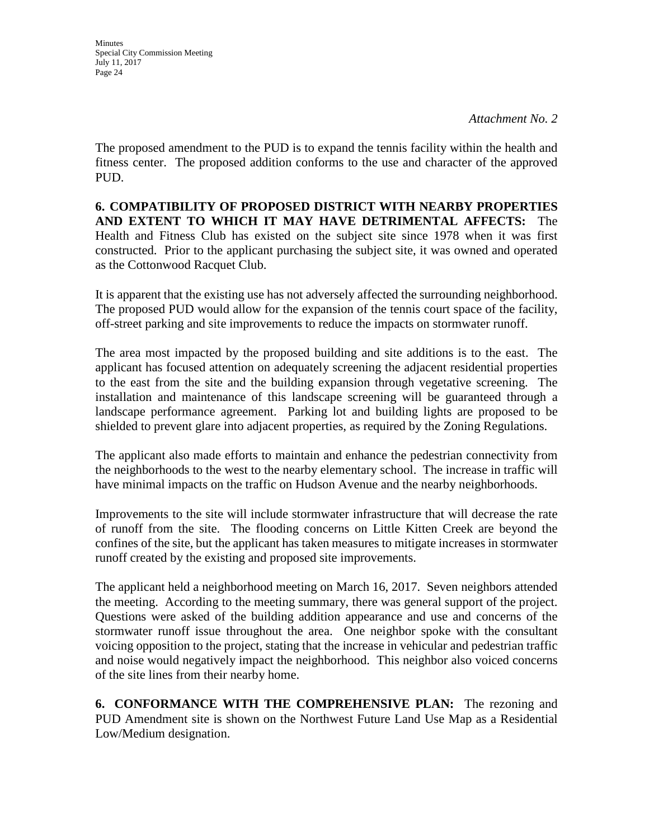**Minutes** Special City Commission Meeting July 11, 2017 Page 24

The proposed amendment to the PUD is to expand the tennis facility within the health and fitness center. The proposed addition conforms to the use and character of the approved PUD.

**6. COMPATIBILITY OF PROPOSED DISTRICT WITH NEARBY PROPERTIES AND EXTENT TO WHICH IT MAY HAVE DETRIMENTAL AFFECTS:** The Health and Fitness Club has existed on the subject site since 1978 when it was first constructed. Prior to the applicant purchasing the subject site, it was owned and operated as the Cottonwood Racquet Club.

It is apparent that the existing use has not adversely affected the surrounding neighborhood. The proposed PUD would allow for the expansion of the tennis court space of the facility, off-street parking and site improvements to reduce the impacts on stormwater runoff.

The area most impacted by the proposed building and site additions is to the east. The applicant has focused attention on adequately screening the adjacent residential properties to the east from the site and the building expansion through vegetative screening. The installation and maintenance of this landscape screening will be guaranteed through a landscape performance agreement. Parking lot and building lights are proposed to be shielded to prevent glare into adjacent properties, as required by the Zoning Regulations.

The applicant also made efforts to maintain and enhance the pedestrian connectivity from the neighborhoods to the west to the nearby elementary school. The increase in traffic will have minimal impacts on the traffic on Hudson Avenue and the nearby neighborhoods.

Improvements to the site will include stormwater infrastructure that will decrease the rate of runoff from the site. The flooding concerns on Little Kitten Creek are beyond the confines of the site, but the applicant has taken measures to mitigate increases in stormwater runoff created by the existing and proposed site improvements.

The applicant held a neighborhood meeting on March 16, 2017. Seven neighbors attended the meeting. According to the meeting summary, there was general support of the project. Questions were asked of the building addition appearance and use and concerns of the stormwater runoff issue throughout the area. One neighbor spoke with the consultant voicing opposition to the project, stating that the increase in vehicular and pedestrian traffic and noise would negatively impact the neighborhood. This neighbor also voiced concerns of the site lines from their nearby home.

**6. CONFORMANCE WITH THE COMPREHENSIVE PLAN:** The rezoning and PUD Amendment site is shown on the Northwest Future Land Use Map as a Residential Low/Medium designation.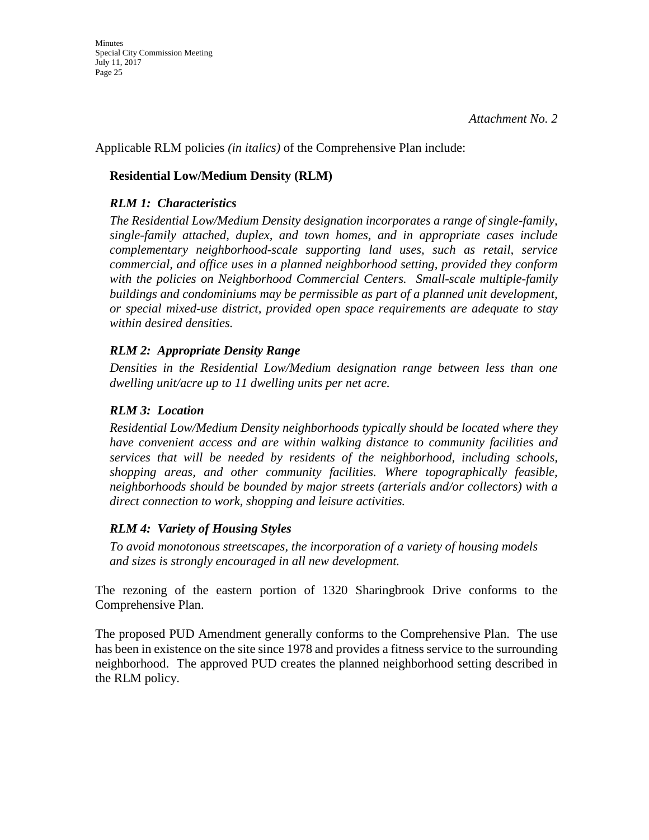Applicable RLM policies *(in italics)* of the Comprehensive Plan include:

# **Residential Low/Medium Density (RLM)**

# *RLM 1: Characteristics*

*The Residential Low/Medium Density designation incorporates a range of single-family, single-family attached, duplex, and town homes, and in appropriate cases include complementary neighborhood-scale supporting land uses, such as retail, service commercial, and office uses in a planned neighborhood setting, provided they conform with the policies on Neighborhood Commercial Centers. Small-scale multiple-family buildings and condominiums may be permissible as part of a planned unit development, or special mixed-use district, provided open space requirements are adequate to stay within desired densities.* 

## *RLM 2: Appropriate Density Range*

*Densities in the Residential Low/Medium designation range between less than one dwelling unit/acre up to 11 dwelling units per net acre.* 

## *RLM 3: Location*

*Residential Low/Medium Density neighborhoods typically should be located where they have convenient access and are within walking distance to community facilities and services that will be needed by residents of the neighborhood, including schools, shopping areas, and other community facilities. Where topographically feasible, neighborhoods should be bounded by major streets (arterials and/or collectors) with a direct connection to work, shopping and leisure activities.* 

## *RLM 4: Variety of Housing Styles*

*To avoid monotonous streetscapes, the incorporation of a variety of housing models and sizes is strongly encouraged in all new development.* 

The rezoning of the eastern portion of 1320 Sharingbrook Drive conforms to the Comprehensive Plan.

The proposed PUD Amendment generally conforms to the Comprehensive Plan. The use has been in existence on the site since 1978 and provides a fitness service to the surrounding neighborhood. The approved PUD creates the planned neighborhood setting described in the RLM policy.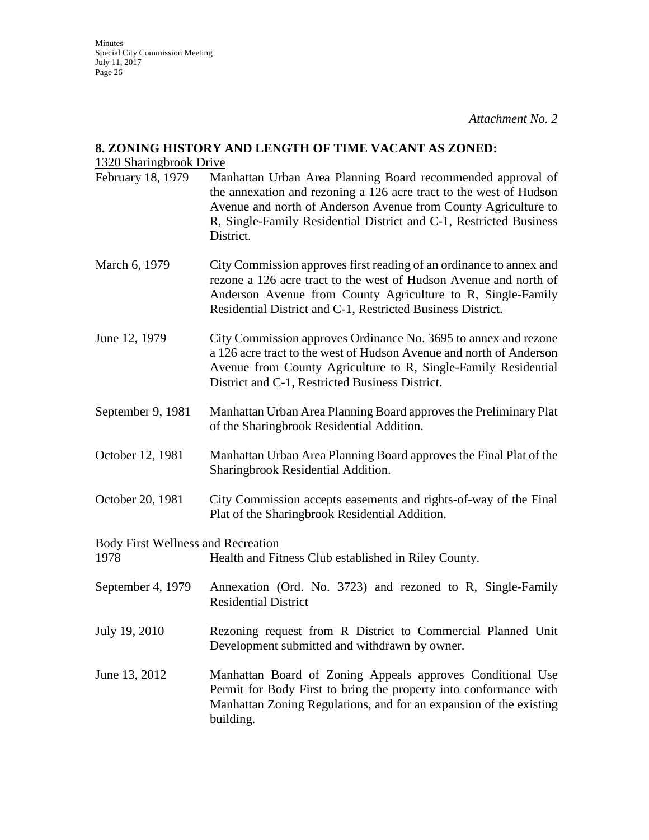#### **8. ZONING HISTORY AND LENGTH OF TIME VACANT AS ZONED:**

#### 1320 Sharingbrook Drive

- February 18, 1979 Manhattan Urban Area Planning Board recommended approval of the annexation and rezoning a 126 acre tract to the west of Hudson Avenue and north of Anderson Avenue from County Agriculture to R, Single-Family Residential District and C-1, Restricted Business District.
- March 6, 1979 City Commission approves first reading of an ordinance to annex and rezone a 126 acre tract to the west of Hudson Avenue and north of Anderson Avenue from County Agriculture to R, Single-Family Residential District and C-1, Restricted Business District.
- June 12, 1979 City Commission approves Ordinance No. 3695 to annex and rezone a 126 acre tract to the west of Hudson Avenue and north of Anderson Avenue from County Agriculture to R, Single-Family Residential District and C-1, Restricted Business District.
- September 9, 1981 Manhattan Urban Area Planning Board approves the Preliminary Plat of the Sharingbrook Residential Addition.
- October 12, 1981 Manhattan Urban Area Planning Board approves the Final Plat of the Sharingbrook Residential Addition.
- October 20, 1981 City Commission accepts easements and rights-of-way of the Final Plat of the Sharingbrook Residential Addition.

Body First Wellness and Recreation

1978 Health and Fitness Club established in Riley County.

- September 4, 1979 Annexation (Ord. No. 3723) and rezoned to R, Single-Family Residential District
- July 19, 2010 Rezoning request from R District to Commercial Planned Unit Development submitted and withdrawn by owner.
- June 13, 2012 Manhattan Board of Zoning Appeals approves Conditional Use Permit for Body First to bring the property into conformance with Manhattan Zoning Regulations, and for an expansion of the existing building.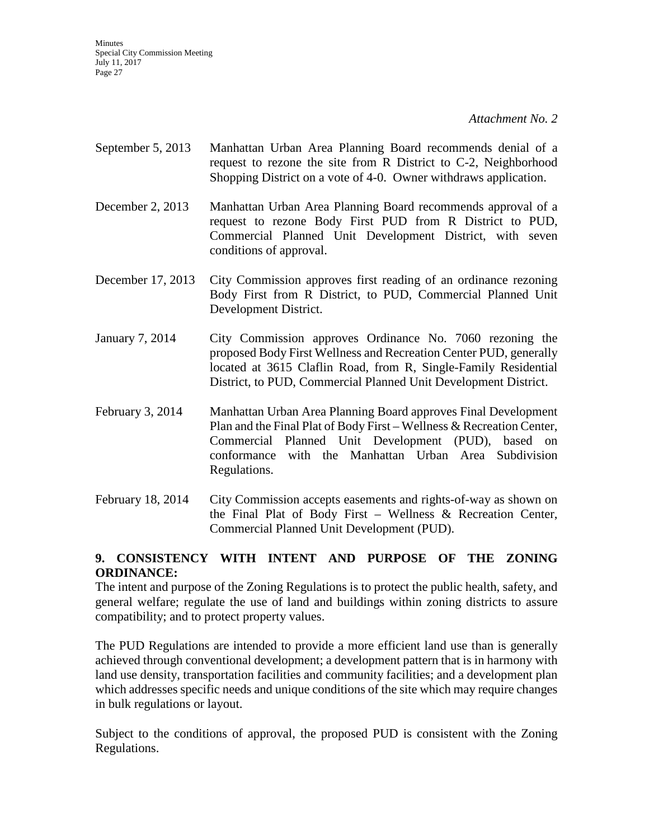- September 5, 2013 Manhattan Urban Area Planning Board recommends denial of a request to rezone the site from R District to C-2, Neighborhood Shopping District on a vote of 4-0. Owner withdraws application.
- December 2, 2013 Manhattan Urban Area Planning Board recommends approval of a request to rezone Body First PUD from R District to PUD, Commercial Planned Unit Development District, with seven conditions of approval.
- December 17, 2013 City Commission approves first reading of an ordinance rezoning Body First from R District, to PUD, Commercial Planned Unit Development District.
- January 7, 2014 City Commission approves Ordinance No. 7060 rezoning the proposed Body First Wellness and Recreation Center PUD, generally located at 3615 Claflin Road, from R, Single-Family Residential District, to PUD, Commercial Planned Unit Development District.
- February 3, 2014 Manhattan Urban Area Planning Board approves Final Development Plan and the Final Plat of Body First – Wellness & Recreation Center, Commercial Planned Unit Development (PUD), based on conformance with the Manhattan Urban Area Subdivision Regulations.
- February 18, 2014 City Commission accepts easements and rights-of-way as shown on the Final Plat of Body First – Wellness & Recreation Center, Commercial Planned Unit Development (PUD).

# **9. CONSISTENCY WITH INTENT AND PURPOSE OF THE ZONING ORDINANCE:**

The intent and purpose of the Zoning Regulations is to protect the public health, safety, and general welfare; regulate the use of land and buildings within zoning districts to assure compatibility; and to protect property values.

The PUD Regulations are intended to provide a more efficient land use than is generally achieved through conventional development; a development pattern that is in harmony with land use density, transportation facilities and community facilities; and a development plan which addresses specific needs and unique conditions of the site which may require changes in bulk regulations or layout.

Subject to the conditions of approval, the proposed PUD is consistent with the Zoning Regulations.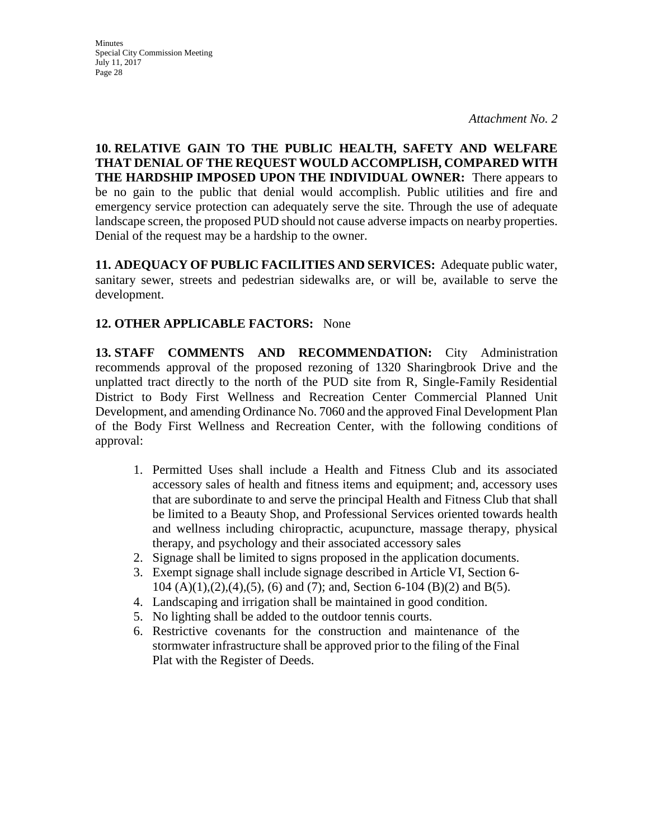**Minutes** Special City Commission Meeting July 11, 2017 Page 28

**10. RELATIVE GAIN TO THE PUBLIC HEALTH, SAFETY AND WELFARE THAT DENIAL OF THE REQUEST WOULD ACCOMPLISH, COMPARED WITH THE HARDSHIP IMPOSED UPON THE INDIVIDUAL OWNER:** There appears to be no gain to the public that denial would accomplish. Public utilities and fire and emergency service protection can adequately serve the site. Through the use of adequate landscape screen, the proposed PUD should not cause adverse impacts on nearby properties. Denial of the request may be a hardship to the owner.

**11. ADEQUACY OF PUBLIC FACILITIES AND SERVICES:** Adequate public water, sanitary sewer, streets and pedestrian sidewalks are, or will be, available to serve the development.

# **12. OTHER APPLICABLE FACTORS:** None

**13. STAFF COMMENTS AND RECOMMENDATION:** City Administration recommends approval of the proposed rezoning of 1320 Sharingbrook Drive and the unplatted tract directly to the north of the PUD site from R, Single-Family Residential District to Body First Wellness and Recreation Center Commercial Planned Unit Development, and amending Ordinance No. 7060 and the approved Final Development Plan of the Body First Wellness and Recreation Center, with the following conditions of approval:

- 1. Permitted Uses shall include a Health and Fitness Club and its associated accessory sales of health and fitness items and equipment; and, accessory uses that are subordinate to and serve the principal Health and Fitness Club that shall be limited to a Beauty Shop, and Professional Services oriented towards health and wellness including chiropractic, acupuncture, massage therapy, physical therapy, and psychology and their associated accessory sales
- 2. Signage shall be limited to signs proposed in the application documents.
- 3. Exempt signage shall include signage described in Article VI, Section 6- 104 (A)(1),(2),(4),(5), (6) and (7); and, Section 6-104 (B)(2) and B(5).
- 4. Landscaping and irrigation shall be maintained in good condition.
- 5. No lighting shall be added to the outdoor tennis courts.
- 6. Restrictive covenants for the construction and maintenance of the stormwater infrastructure shall be approved prior to the filing of the Final Plat with the Register of Deeds.